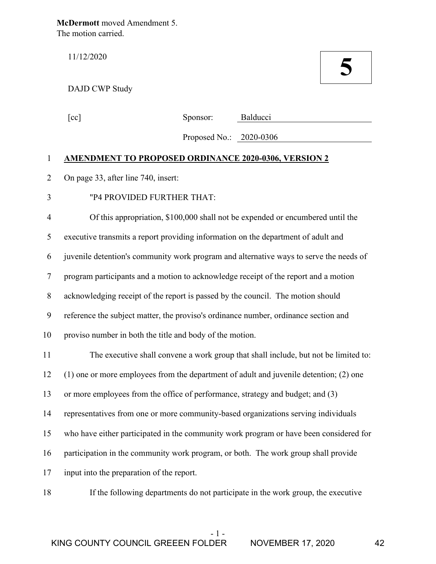**McDermott** moved Amendment 5. The motion carried.

## DAJD CWP Study

11/12/2020 **5**

| [cc] | Sponsor: | Balducci |
|------|----------|----------|
|      |          |          |

Proposed No.: 2020-0306

## 1 **AMENDMENT TO PROPOSED ORDINANCE 2020-0306, VERSION 2**

- 2 On page 33, after line 740, insert:
- 3 "P4 PROVIDED FURTHER THAT:

4 Of this appropriation, \$100,000 shall not be expended or encumbered until the 5 executive transmits a report providing information on the department of adult and 6 juvenile detention's community work program and alternative ways to serve the needs of 7 program participants and a motion to acknowledge receipt of the report and a motion 8 acknowledging receipt of the report is passed by the council. The motion should 9 reference the subject matter, the proviso's ordinance number, ordinance section and 10 proviso number in both the title and body of the motion. 11 The executive shall convene a work group that shall include, but not be limited to:

12 (1) one or more employees from the department of adult and juvenile detention; (2) one 13 or more employees from the office of performance, strategy and budget; and (3) 14 representatives from one or more community-based organizations serving individuals 15 who have either participated in the community work program or have been considered for 16 participation in the community work program, or both. The work group shall provide 17 input into the preparation of the report.

18 If the following departments do not participate in the work group, the executive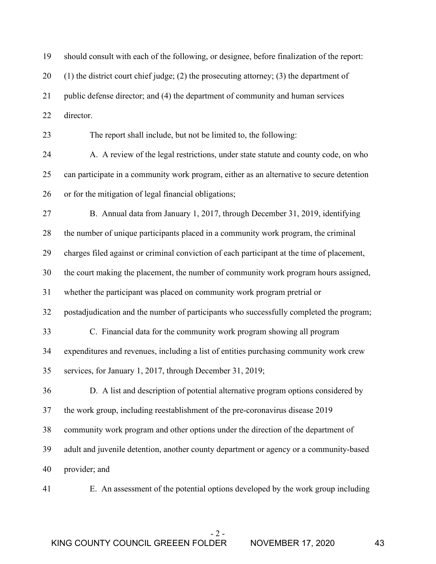| 19 | should consult with each of the following, or designee, before finalization of the report:    |
|----|-----------------------------------------------------------------------------------------------|
| 20 | $(1)$ the district court chief judge; $(2)$ the prosecuting attorney; $(3)$ the department of |
| 21 | public defense director; and (4) the department of community and human services               |
| 22 | director.                                                                                     |
| 23 | The report shall include, but not be limited to, the following:                               |
| 24 | A. A review of the legal restrictions, under state statute and county code, on who            |
| 25 | can participate in a community work program, either as an alternative to secure detention     |
| 26 | or for the mitigation of legal financial obligations;                                         |
| 27 | B. Annual data from January 1, 2017, through December 31, 2019, identifying                   |
| 28 | the number of unique participants placed in a community work program, the criminal            |
| 29 | charges filed against or criminal conviction of each participant at the time of placement,    |
| 30 | the court making the placement, the number of community work program hours assigned,          |
| 31 | whether the participant was placed on community work program pretrial or                      |
| 32 | postadjudication and the number of participants who successfully completed the program;       |
| 33 | C. Financial data for the community work program showing all program                          |
| 34 | expenditures and revenues, including a list of entities purchasing community work crew        |
| 35 | services, for January 1, 2017, through December 31, 2019;                                     |
| 36 | D. A list and description of potential alternative program options considered by              |
| 37 | the work group, including reestablishment of the pre-coronavirus disease 2019                 |
| 38 | community work program and other options under the direction of the department of             |
| 39 | adult and juvenile detention, another county department or agency or a community-based        |
| 40 | provider; and                                                                                 |
| 41 | E. An assessment of the potential options developed by the work group including               |

- 2 -

KING COUNTY COUNCIL GREEEN FOLDER NOVEMBER 17, 2020 43